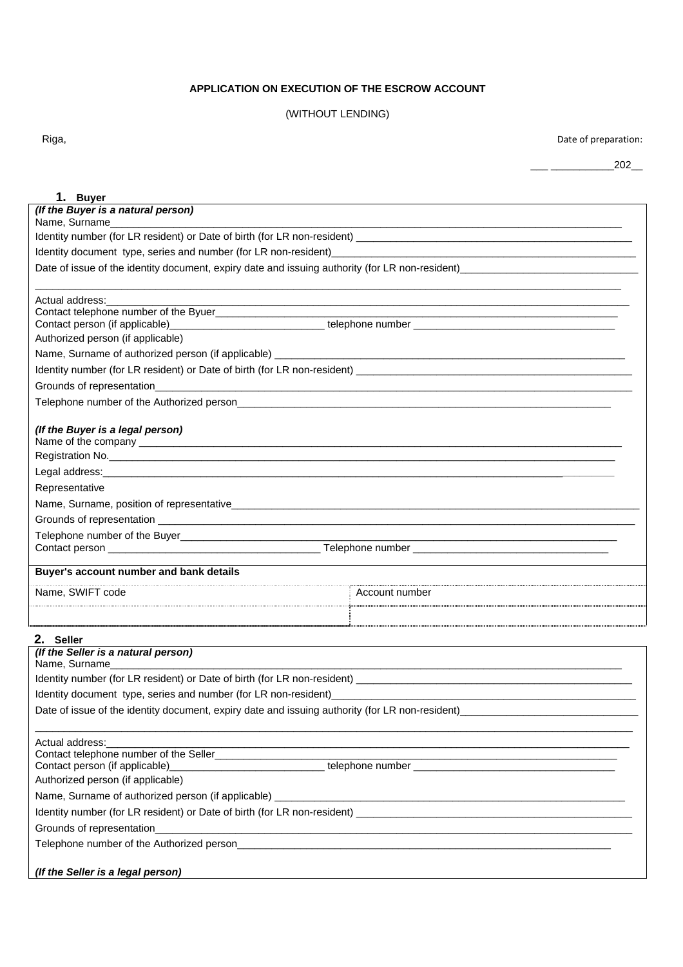# **APPLICATION ON EXECUTION OF THE ESCROW ACCOUNT**

## (WITHOUT LENDING)

Riga, **Date of preparation:** 

\_\_\_ \_\_\_\_\_\_\_\_\_\_\_202\_\_

| 1. Buyer                                                                                        |                                                                                                                                                                                                       |  |
|-------------------------------------------------------------------------------------------------|-------------------------------------------------------------------------------------------------------------------------------------------------------------------------------------------------------|--|
| (If the Buyer is a natural person)                                                              |                                                                                                                                                                                                       |  |
| Name, Surname                                                                                   |                                                                                                                                                                                                       |  |
|                                                                                                 |                                                                                                                                                                                                       |  |
| Date of issue of the identity document, expiry date and issuing authority (for LR non-resident) |                                                                                                                                                                                                       |  |
|                                                                                                 |                                                                                                                                                                                                       |  |
| Actual address:                                                                                 |                                                                                                                                                                                                       |  |
|                                                                                                 |                                                                                                                                                                                                       |  |
|                                                                                                 | Contact person (if applicable)_______________________________telephone number                                                                                                                         |  |
| Authorized person (if applicable)                                                               |                                                                                                                                                                                                       |  |
|                                                                                                 |                                                                                                                                                                                                       |  |
|                                                                                                 |                                                                                                                                                                                                       |  |
|                                                                                                 |                                                                                                                                                                                                       |  |
|                                                                                                 |                                                                                                                                                                                                       |  |
| (If the Buyer is a legal person)                                                                |                                                                                                                                                                                                       |  |
|                                                                                                 |                                                                                                                                                                                                       |  |
|                                                                                                 |                                                                                                                                                                                                       |  |
| Representative                                                                                  |                                                                                                                                                                                                       |  |
|                                                                                                 |                                                                                                                                                                                                       |  |
|                                                                                                 |                                                                                                                                                                                                       |  |
|                                                                                                 |                                                                                                                                                                                                       |  |
| Buyer's account number and bank details                                                         |                                                                                                                                                                                                       |  |
| Name, SWIFT code                                                                                | ⊟ Account number                                                                                                                                                                                      |  |
|                                                                                                 | <u> 1989 - Johann Stoff, Amerikaansk politiker (f. 1989)</u>                                                                                                                                          |  |
|                                                                                                 |                                                                                                                                                                                                       |  |
| 2. Seller                                                                                       |                                                                                                                                                                                                       |  |
| (If the Seller is a natural person)<br>Name, Surname                                            |                                                                                                                                                                                                       |  |
|                                                                                                 |                                                                                                                                                                                                       |  |
| Identity document type, series and number (for LR non-resident)                                 |                                                                                                                                                                                                       |  |
|                                                                                                 | Date of issue of the identity document, expiry date and issuing authority (for LR non-resident) [100] Date of issue of the identity document, expiry date and issuing authority (for LR non-resident) |  |
|                                                                                                 |                                                                                                                                                                                                       |  |
| Actual address:                                                                                 |                                                                                                                                                                                                       |  |
|                                                                                                 | Contact person (if applicable)____________________________telephone number                                                                                                                            |  |
| Authorized person (if applicable)                                                               |                                                                                                                                                                                                       |  |
|                                                                                                 |                                                                                                                                                                                                       |  |
|                                                                                                 |                                                                                                                                                                                                       |  |
|                                                                                                 |                                                                                                                                                                                                       |  |
|                                                                                                 |                                                                                                                                                                                                       |  |
|                                                                                                 |                                                                                                                                                                                                       |  |
| (If the Seller is a legal person)                                                               |                                                                                                                                                                                                       |  |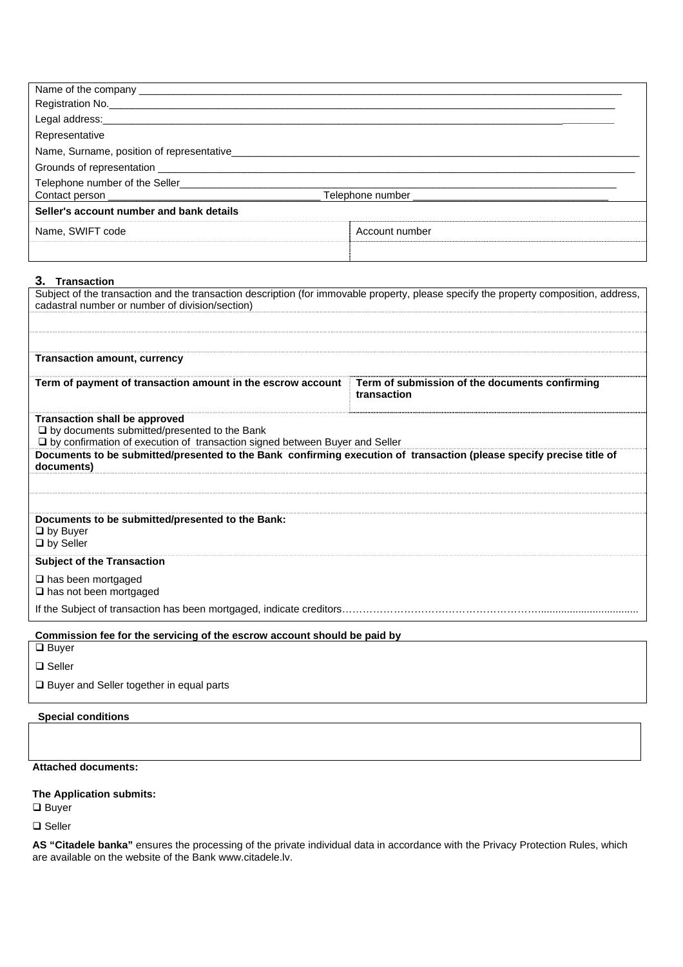| Name of the company __                              |                |
|-----------------------------------------------------|----------------|
| Registration No.                                    |                |
| Legal address:_____________                         |                |
| Representative                                      |                |
| Name, Surname, position of representative__________ |                |
|                                                     |                |
| Telephone number of the Seller                      |                |
| Telephone number                                    |                |
| Seller's account number and bank details            |                |
| Name, SWIFT code                                    | Account number |
|                                                     |                |
|                                                     |                |

#### **3. Transaction**

| Subject of the transaction and the transaction description (for immovable property, please specify the property composition, address,<br>cadastral number or number of division/section) |                                                               |  |
|------------------------------------------------------------------------------------------------------------------------------------------------------------------------------------------|---------------------------------------------------------------|--|
|                                                                                                                                                                                          |                                                               |  |
|                                                                                                                                                                                          |                                                               |  |
| <b>Transaction amount, currency</b>                                                                                                                                                      |                                                               |  |
| Term of payment of transaction amount in the escrow account                                                                                                                              | Term of submission of the documents confirming<br>transaction |  |
| <b>Transaction shall be approved</b><br>$\Box$ by documents submitted/presented to the Bank<br>□ by confirmation of execution of transaction signed between Buyer and Seller             |                                                               |  |
| Documents to be submitted/presented to the Bank confirming execution of transaction (please specify precise title of<br>documents)                                                       |                                                               |  |
|                                                                                                                                                                                          |                                                               |  |
|                                                                                                                                                                                          |                                                               |  |
| Documents to be submitted/presented to the Bank:<br>$\Box$ by Buyer<br>$\Box$ by Seller                                                                                                  |                                                               |  |
| <b>Subject of the Transaction</b>                                                                                                                                                        |                                                               |  |
| $\Box$ has been mortgaged<br>$\Box$ has not been mortgaged                                                                                                                               |                                                               |  |
| If the Subject of transaction has been mortgaged, indicate creditors                                                                                                                     |                                                               |  |
| Commission fee for the servicing of the escrow account should be paid by                                                                                                                 |                                                               |  |
| $\Box$ Buyer                                                                                                                                                                             |                                                               |  |

**□** Seller

□ Buyer and Seller together in equal parts

### **Special conditions**

**Attached documents:** 

## **The Application submits:**

 $\Box$  Buyer

□ Seller

**AS "Citadele banka"** ensures the processing of the private individual data in accordance with the Privacy Protection Rules, which are available on the website of the Bank www.citadele.lv.